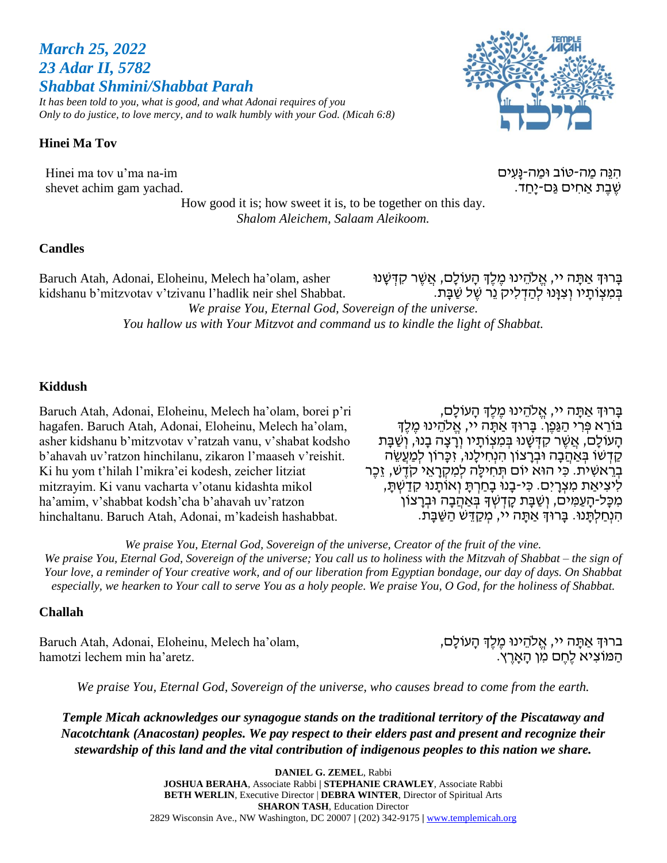# *March 25, 2022 23 Adar II, 5782 Shabbat Shmini/Shabbat Parah*

*It has been told to you, what is good, and what Adonai requires of you Only to do justice, to love mercy, and to walk humbly with your God. (Micah 6:8)*

### **Hinei Ma Tov**

Hinei ma tov u'ma na-im shevet achim gam yachad.

ּהִנֵּה מַה-טֹוב וּמַה-נַּעִים שֶׁבֶּת אַחִים גַּם-יַּחַד.

How good it is; how sweet it is, to be together on this day. *Shalom Aleichem, Salaam Aleikoom.*

#### **Candles**

Baruch Atah, Adonai, Eloheinu, Melech ha'olam, asher kidshanu b'mitzvotav v'tzivanu l'hadlik neir shel Shabbat. בָּרוּךְ אַתָּה יי, אֱלֹהֵינוּ מֶ*ׂלֶ*ךְ הָעוֹלָם, אֲשֶׁר קִדְּשָּׁנוּ בְּמְצְוֹתַיו וְצְוָּנוּ לְהַדְּלִיק נֵר שֶׁל שַׁבָּת. *We praise You, Eternal God, Sovereign of the universe. You hallow us with Your Mitzvot and command us to kindle the light of Shabbat.*

#### **Kiddush**

Baruch Atah, Adonai, Eloheinu, Melech ha'olam, borei p'ri hagafen. Baruch Atah, Adonai, Eloheinu, Melech ha'olam, asher kidshanu b'mitzvotav v'ratzah vanu, v'shabat kodsho b'ahavah uv'ratzon hinchilanu, zikaron l'maaseh v'reishit. Ki hu yom t'hilah l'mikra'ei kodesh, zeicher litziat mitzrayim. Ki vanu vacharta v'otanu kidashta mikol ha'amim, v'shabbat kodsh'cha b'ahavah uv'ratzon hinchaltanu. Baruch Atah, Adonai, m'kadeish hashabbat.

ָבָּרוּדְּ אַתָּה יי, אֱלֹהֵינוּ מֵלֵדְ הָעוֹלָם, ָ בּוֹרֵא פְּרִי הַגַּפֶן. בַּרוּךְּ אַתָּה יי, אֱלֹהֵינוּ מֶלֶךְ הַעוֹלַם, אֲשֶׁר קִדְּשָׁנוּ בְּמִצְוֹתַיו וְרַצָּה בָנוּ, וְשַׁבָּת קדשו בַּאהבה וּבִרְצוֹן הַנְחִילְנוּ, זִכְּרוֹן לִמְעָשָׂה בְּרֵאשִׁית. כִּי הוּא יוֹם תְּחִילֵה לִמְקְרָאֵי קֹדֶשׁ, זֶכֶּר לִיצִיאַת מִצְרָיִם. כִּי-בָנוּ בָחַרְתַּ וְאוֹתֲנוּ קִדַשְׁתַּ, מִכָּל-הָעַמְּים, וְשַׁבָּת קָדְשְׁדָּ בְּאַהֲבָה וּבְרָצוֹן הנחלתּנוּ. בַּרוּךְ אַתַּה יי, מְקַדֵּשׁ הַשַּׁבָּת.

*We praise You, Eternal God, Sovereign of the universe, Creator of the fruit of the vine. We praise You, Eternal God, Sovereign of the universe; You call us to holiness with the Mitzvah of Shabbat – the sign of Your love, a reminder of Your creative work, and of our liberation from Egyptian bondage, our day of days. On Shabbat especially, we hearken to Your call to serve You as a holy people. We praise You, O God, for the holiness of Shabbat.*

### **Challah**

Baruch Atah, Adonai, Eloheinu, Melech ha'olam, hamotzi lechem min ha'aretz.

בּרוּךְ אַתָּה יי, אֱלֹהֵינוּ מֶֽלֶךְ הָעוֹלָם, הַמּוֹצִיא לֶחֶם מִן הָאָרֶץ.

*We praise You, Eternal God, Sovereign of the universe, who causes bread to come from the earth.*

*Temple Micah acknowledges our synagogue stands on the traditional territory of the Piscataway and Nacotchtank (Anacostan) peoples. We pay respect to their elders past and present and recognize their stewardship of this land and the vital contribution of indigenous peoples to this nation we share.*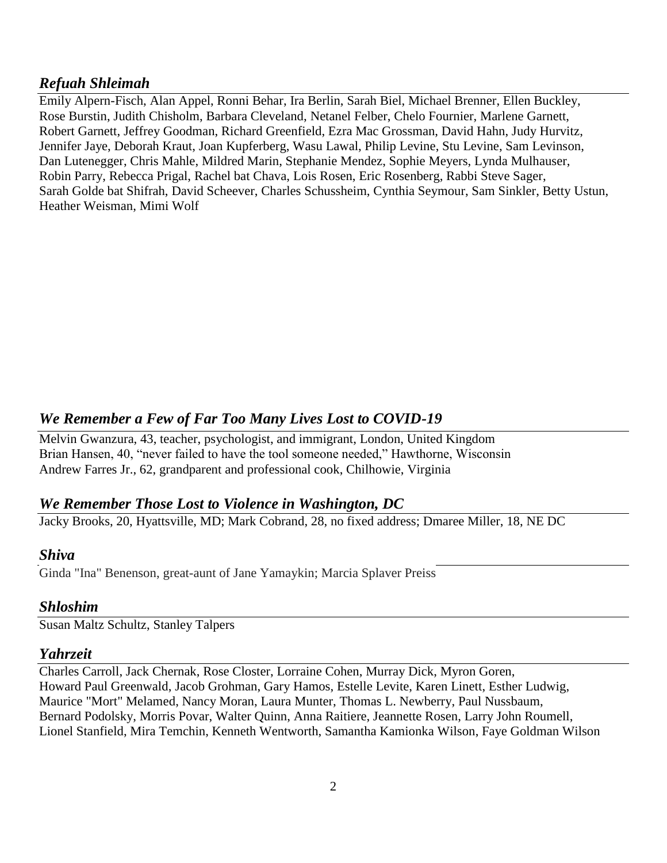## *Refuah Shleimah*

Emily Alpern-Fisch, Alan Appel, Ronni Behar, Ira Berlin, Sarah Biel, Michael Brenner, Ellen Buckley, Rose Burstin, Judith Chisholm, Barbara Cleveland, Netanel Felber, Chelo Fournier, Marlene Garnett, Robert Garnett, Jeffrey Goodman, Richard Greenfield, Ezra Mac Grossman, David Hahn, Judy Hurvitz, Jennifer Jaye, Deborah Kraut, Joan Kupferberg, Wasu Lawal, Philip Levine, Stu Levine, Sam Levinson, Dan Lutenegger, Chris Mahle, Mildred Marin, Stephanie Mendez, Sophie Meyers, Lynda Mulhauser, Robin Parry, Rebecca Prigal, Rachel bat Chava, Lois Rosen, Eric Rosenberg, Rabbi Steve Sager, Sarah Golde bat Shifrah, David Scheever, Charles Schussheim, Cynthia Seymour, Sam Sinkler, Betty Ustun, Heather Weisman, Mimi Wolf

## *We Remember a Few of Far Too Many Lives Lost to COVID-19*

Melvin Gwanzura, 43, teacher, psychologist, and immigrant, London, United Kingdom Brian Hansen, 40, "never failed to have the tool someone needed," Hawthorne, Wisconsin Andrew Farres Jr., 62, grandparent and professional cook, Chilhowie, Virginia

## *We Remember Those Lost to Violence in Washington, DC*

Jacky Brooks, 20, Hyattsville, MD; Mark Cobrand, 28, no fixed address; Dmaree Miller, 18, NE DC

### *Shiva*

Ginda "Ina" Benenson, great-aunt of Jane Yamaykin; Marcia Splaver Preiss

### *Shloshim*

Susan Maltz Schultz, Stanley Talpers

### *Yahrzeit*

Charles Carroll, Jack Chernak, Rose Closter, Lorraine Cohen, Murray Dick, Myron Goren, Howard Paul Greenwald, Jacob Grohman, Gary Hamos, Estelle Levite, Karen Linett, Esther Ludwig, Maurice "Mort" Melamed, Nancy Moran, Laura Munter, Thomas L. Newberry, Paul Nussbaum, Bernard Podolsky, Morris Povar, Walter Quinn, Anna Raitiere, Jeannette Rosen, Larry John Roumell, Lionel Stanfield, Mira Temchin, Kenneth Wentworth, Samantha Kamionka Wilson, Faye Goldman Wilson